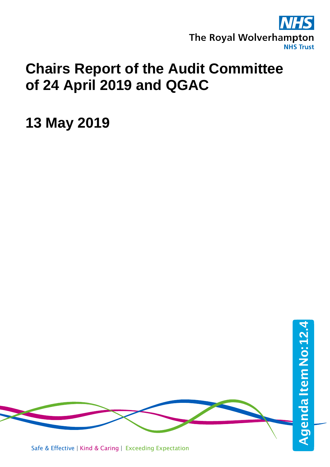

## **Chairs Report of the Audit Committee of 24 April 2019 and QGAC**

**13 May 2019**

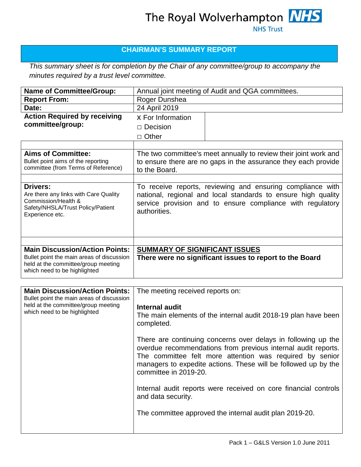## **CHAIRMAN'S SUMMARY REPORT**

*This summary sheet is for completion by the Chair of any committee/group to accompany the minutes required by a trust level committee.*

| <b>Name of Committee/Group:</b>                                                                                                                           | Annual joint meeting of Audit and QGA committees.                                                                                                                                                                                                                                     |
|-----------------------------------------------------------------------------------------------------------------------------------------------------------|---------------------------------------------------------------------------------------------------------------------------------------------------------------------------------------------------------------------------------------------------------------------------------------|
| <b>Report From:</b>                                                                                                                                       | Roger Dunshea                                                                                                                                                                                                                                                                         |
| Date:                                                                                                                                                     | 24 April 2019                                                                                                                                                                                                                                                                         |
| <b>Action Required by receiving</b>                                                                                                                       | <b>X</b> For Information                                                                                                                                                                                                                                                              |
| committee/group:                                                                                                                                          | $\Box$ Decision                                                                                                                                                                                                                                                                       |
|                                                                                                                                                           | $\Box$ Other                                                                                                                                                                                                                                                                          |
|                                                                                                                                                           |                                                                                                                                                                                                                                                                                       |
| <b>Aims of Committee:</b><br>Bullet point aims of the reporting<br>committee (from Terms of Reference)                                                    | The two committee's meet annually to review their joint work and<br>to ensure there are no gaps in the assurance they each provide<br>to the Board.                                                                                                                                   |
| <b>Drivers:</b><br>Are there any links with Care Quality<br>Commission/Health &<br>Safety/NHSLA/Trust Policy/Patient<br>Experience etc.                   | To receive reports, reviewing and ensuring compliance with<br>national, regional and local standards to ensure high quality<br>service provision and to ensure compliance with regulatory<br>authorities.                                                                             |
| <b>Main Discussion/Action Points:</b><br>Bullet point the main areas of discussion<br>held at the committee/group meeting<br>which need to be highlighted | SUMMARY OF SIGNIFICANT ISSUES<br>There were no significant issues to report to the Board                                                                                                                                                                                              |
| <b>Main Discussion/Action Points:</b>                                                                                                                     |                                                                                                                                                                                                                                                                                       |
| Bullet point the main areas of discussion                                                                                                                 | The meeting received reports on:                                                                                                                                                                                                                                                      |
| held at the committee/group meeting<br>which need to be highlighted                                                                                       | <b>Internal audit</b><br>The main elements of the internal audit 2018-19 plan have been<br>completed.                                                                                                                                                                                 |
|                                                                                                                                                           | There are continuing concerns over delays in following up the<br>overdue recommendations from previous internal audit reports.<br>The committee felt more attention was required by senior<br>managers to expedite actions. These will be followed up by the<br>committee in 2019-20. |
|                                                                                                                                                           | Internal audit reports were received on core financial controls<br>and data security.                                                                                                                                                                                                 |
|                                                                                                                                                           | The committee approved the internal audit plan 2019-20.                                                                                                                                                                                                                               |